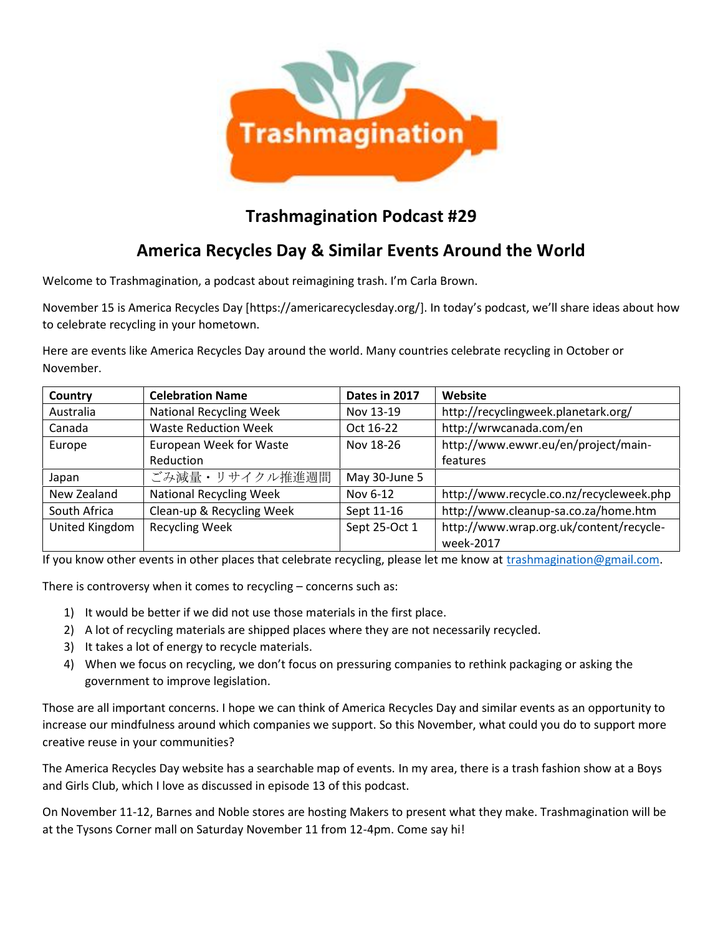

## **Trashmagination Podcast #29**

## **America Recycles Day & Similar Events Around the World**

Welcome to Trashmagination, a podcast about reimagining trash. I'm Carla Brown.

November 15 is America Recycles Day [https://americarecyclesday.org/]. In today's podcast, we'll share ideas about how to celebrate recycling in your hometown.

Here are events like America Recycles Day around the world. Many countries celebrate recycling in October or November.

| Country        | <b>Celebration Name</b>        | Dates in 2017 | Website                                              |
|----------------|--------------------------------|---------------|------------------------------------------------------|
| Australia      | <b>National Recycling Week</b> | Nov 13-19     | http://recyclingweek.planetark.org/                  |
| Canada         | <b>Waste Reduction Week</b>    | Oct 16-22     | http://wrwcanada.com/en                              |
| Europe         | European Week for Waste        | Nov 18-26     | http://www.ewwr.eu/en/project/main-                  |
|                | Reduction                      |               | features                                             |
| Japan          | ごみ減量・リサイクル推進週間                 | May 30-June 5 |                                                      |
| New Zealand    | <b>National Recycling Week</b> | Nov 6-12      | http://www.recycle.co.nz/recycleweek.php             |
| South Africa   | Clean-up & Recycling Week      | Sept 11-16    | http://www.cleanup-sa.co.za/home.htm                 |
| United Kingdom | <b>Recycling Week</b>          | Sept 25-Oct 1 | http://www.wrap.org.uk/content/recycle-<br>week-2017 |

If you know other events in other places that celebrate recycling, please let me know at trashmagination@gmail.com.

There is controversy when it comes to recycling – concerns such as:

- 1) It would be better if we did not use those materials in the first place.
- 2) A lot of recycling materials are shipped places where they are not necessarily recycled.
- 3) It takes a lot of energy to recycle materials.
- 4) When we focus on recycling, we don't focus on pressuring companies to rethink packaging or asking the government to improve legislation.

Those are all important concerns. I hope we can think of America Recycles Day and similar events as an opportunity to increase our mindfulness around which companies we support. So this November, what could you do to support more creative reuse in your communities?

The America Recycles Day website has a searchable map of events. In my area, there is a trash fashion show at a Boys and Girls Club, which I love as discussed in episode 13 of this podcast.

On November 11-12, Barnes and Noble stores are hosting Makers to present what they make. Trashmagination will be at the Tysons Corner mall on Saturday November 11 from 12-4pm. Come say hi!